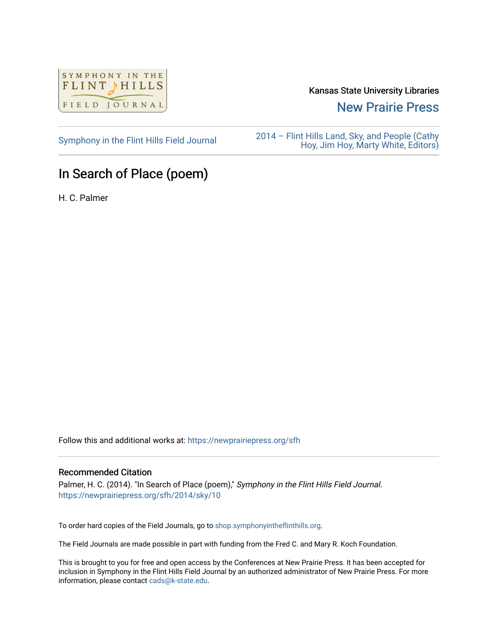

Kansas State University Libraries

[New Prairie Press](https://newprairiepress.org/) 

[Symphony in the Flint Hills Field Journal](https://newprairiepress.org/sfh) 2014 – Flint Hills Land, Sky, and People (Cathy [Hoy, Jim Hoy, Marty White, Editors\)](https://newprairiepress.org/sfh/2014) 

## In Search of Place (poem)

H. C. Palmer

Follow this and additional works at: [https://newprairiepress.org/sfh](https://newprairiepress.org/sfh?utm_source=newprairiepress.org%2Fsfh%2F2014%2Fsky%2F10&utm_medium=PDF&utm_campaign=PDFCoverPages)

## Recommended Citation

Palmer, H. C. (2014). "In Search of Place (poem)," Symphony in the Flint Hills Field Journal. <https://newprairiepress.org/sfh/2014/sky/10>

To order hard copies of the Field Journals, go to [shop.symphonyintheflinthills.org.](http://shop.symphonyintheflinthills.org/)

The Field Journals are made possible in part with funding from the Fred C. and Mary R. Koch Foundation.

This is brought to you for free and open access by the Conferences at New Prairie Press. It has been accepted for inclusion in Symphony in the Flint Hills Field Journal by an authorized administrator of New Prairie Press. For more information, please contact [cads@k-state.edu](mailto:cads@k-state.edu).